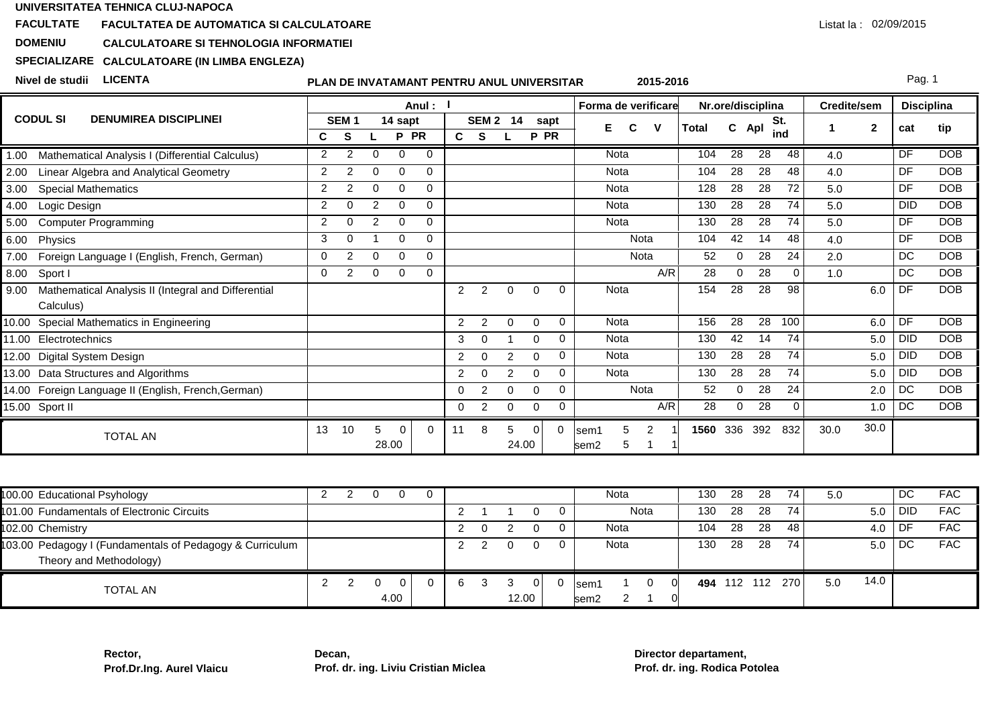### **FACULTATEFACULTATEA DE AUTOMATICA SI CALCULATOARE**

#### **DOMENIUCALCULATOARE SI TEHNOLOGIA INFORMATIEI**

# **SPECIALIZARECALCULATOARE (IN LIMBA ENGLEZA)**

**Nivel de studii LICENTA**

## **PLAN DE INVATAMANT PENTRU ANUL UNIVERSITAR**

Pag. 1

|                                                             |                |                  |          |          | Anul :    |                |                  |          |          |          | Forma de verificare   |       |          | Nr.ore/disciplina |          | Credite/sem |              | <b>Disciplina</b> |            |
|-------------------------------------------------------------|----------------|------------------|----------|----------|-----------|----------------|------------------|----------|----------|----------|-----------------------|-------|----------|-------------------|----------|-------------|--------------|-------------------|------------|
| <b>CODUL SI</b><br><b>DENUMIREA DISCIPLINEI</b>             |                | SEM <sub>1</sub> |          | 14 sapt  |           |                | SEM <sub>2</sub> | 14       |          | sapt     | V<br>F<br>C           | Total | C.       | Apl               | St.      |             | $\mathbf{2}$ | cat               | tip        |
|                                                             | C              | S                |          | P        | <b>PR</b> | C.             | S.               |          | P PR     |          |                       |       |          |                   | ind      |             |              |                   |            |
| Mathematical Analysis I (Differential Calculus)<br>1.00     | $\overline{2}$ | 2                | $\Omega$ | $\Omega$ | $\Omega$  |                |                  |          |          |          | Nota                  | 104   | 28       | $\overline{28}$   | 48       | 4.0         |              | DF                | <b>DOB</b> |
| Linear Algebra and Analytical Geometry<br>2.00              | $\overline{2}$ | 2                | $\Omega$ | $\Omega$ | $\Omega$  |                |                  |          |          |          | Nota                  | 104   | 28       | 28                | 48       | 4.0         |              | DF                | <b>DOB</b> |
| 3.00<br><b>Special Mathematics</b>                          | $\overline{2}$ |                  | $\Omega$ | $\Omega$ | $\Omega$  |                |                  |          |          |          | Nota                  | 128   | 28       | 28                | 72       | 5.0         |              | DF                | <b>DOB</b> |
| Logic Design<br>4.00                                        | 2              | $\Omega$         | 2        | $\Omega$ | $\Omega$  |                |                  |          |          |          | Nota                  | 130   | 28       | 28                | 74       | 5.0         |              | <b>DID</b>        | <b>DOB</b> |
| <b>Computer Programming</b><br>5.00                         | $\overline{2}$ | O                | 2        | $\Omega$ | $\Omega$  |                |                  |          |          |          | Nota                  | 130   | 28       | 28                | 74       | 5.0         |              | DF                | <b>DOB</b> |
| 6.00<br>Physics                                             | 3              | $\Omega$         |          | 0        | $\Omega$  |                |                  |          |          |          | Nota                  | 104   | 42       | 14                | 48       | 4.0         |              | <b>DF</b>         | <b>DOB</b> |
| Foreign Language I (English, French, German)<br>7.00        | 0              | 2                | 0        | 0        | 0         |                |                  |          |          |          | Nota                  | 52    |          | 28                | 24       | 2.0         |              | DC                | <b>DOB</b> |
| 8.00<br>Sport I                                             | $\Omega$       | $\overline{2}$   | 0        | 0        | $\Omega$  |                |                  |          |          |          | A/R                   | 28    | $\Omega$ | 28                | $\Omega$ | 1.0         |              | DC                | <b>DOB</b> |
| 9.00<br>Mathematical Analysis II (Integral and Differential |                |                  |          |          |           | $\overline{2}$ | 2                | $\Omega$ | $\Omega$ | $\Omega$ | Nota                  | 154   | 28       | 28                | 98       |             | 6.0          | DF                | <b>DOB</b> |
| Calculus)                                                   |                |                  |          |          |           |                |                  |          |          |          |                       |       |          |                   |          |             |              |                   |            |
| Special Mathematics in Engineering<br>10.00                 |                |                  |          |          |           | $\overline{2}$ | $\overline{2}$   | $\Omega$ | $\Omega$ | 0        | Nota                  | 156   | 28       | 28                | 100      |             | 6.0          | DF                | <b>DOB</b> |
| Electrotechnics<br>11.00                                    |                |                  |          |          |           | 3              | 0                |          | 0        | 0        | Nota                  | 130   | 42       | 14                | 74       |             | 5.0          | <b>DID</b>        | <b>DOB</b> |
| Digital System Design<br>12.00                              |                |                  |          |          |           | $\overline{2}$ | $\Omega$         | 2        | $\Omega$ | 0        | Nota                  | 130   | 28       | 28                | 74       |             | 5.0          | DID               | <b>DOB</b> |
| Data Structures and Algorithms<br>13.00                     |                |                  |          |          |           | $\overline{2}$ | 0                | 2        | 0        | 0        | Nota                  | 130   | 28       | 28                | 74       |             | 5.0          | <b>DID</b>        | <b>DOB</b> |
| 14.00 Foreign Language II (English, French, German)         |                |                  |          |          |           | 0              | 2                | $\Omega$ | $\Omega$ | 0        | Nota                  | 52    | 0        | 28                | 24       |             | 2.0          | <b>DC</b>         | <b>DOB</b> |
| 15.00 Sport II                                              |                |                  |          |          |           | 0              | 2                | 0        | 0        | 0        | A/R                   | 28    | $\Omega$ | 28                | $\Omega$ |             | 1.0          | <b>DC</b>         | <b>DOB</b> |
| <b>TOTAL AN</b>                                             | 13             | 10               |          | $\Omega$ | $\Omega$  | 11             | 8                | 5        | 0        | 0        | 5<br>lsem1            | 1560  | 336      | 392               | 832      | 30.0        | 30.0         |                   |            |
|                                                             |                |                  | 28.00    |          |           |                |                  | 24.00    |          |          | 5<br>sem <sub>2</sub> |       |          |                   |          |             |              |                   |            |

| 100.00 Educational Psyhology                             |  |      |   |       |    | Nota             | 130 | 28  | -28 | 74  | 5.0 |      | DC. | <b>FAC</b> |
|----------------------------------------------------------|--|------|---|-------|----|------------------|-----|-----|-----|-----|-----|------|-----|------------|
| 101.00 Fundamentals of Electronic Circuits               |  |      |   |       |    | Nota             | 130 | 28  | -28 | 74  |     | 5.0  | DID | <b>FAC</b> |
| 102.00 Chemistry                                         |  |      |   |       |    | Nota             | 104 | 28  | 28  | 48  |     | 4.0  | DF  | <b>FAC</b> |
| 103.00 Pedagogy I (Fundamentals of Pedagogy & Curriculum |  |      |   |       |    | Nota             | 130 | 28  | 28  | 74  |     | 5.0  | DC  | <b>FAC</b> |
| Theory and Methodology)                                  |  |      |   |       |    |                  |     |     |     |     |     |      |     |            |
| <b>TOTAL AN</b>                                          |  |      | 6 |       | 01 | lsem1            | 494 | 112 | 112 | 270 | 5.0 | 14.0 |     |            |
|                                                          |  | 4.00 |   | 12.00 |    | sem <sub>2</sub> |     |     |     |     |     |      |     |            |

**Rector,Prof.Dr.Ing. Aurel Vlaicu** **Decan,Prof. dr. ing. Liviu Cristian Miclea** **Director departament,Prof. dr. ing. Rodica Potolea**

**2015-2016**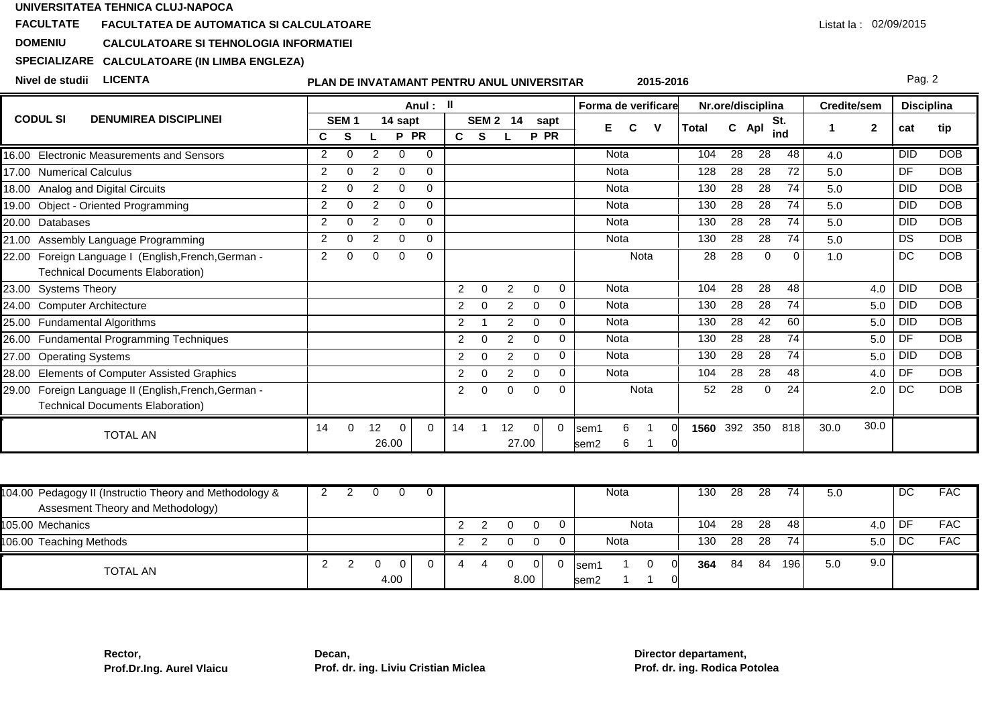### **FACULTATEFACULTATEA DE AUTOMATICA SI CALCULATOARE**

#### **DOMENIUCALCULATOARE SI TEHNOLOGIA INFORMATIEI**

# **SPECIALIZARECALCULATOARE (IN LIMBA ENGLEZA)**

**Nivel de studii LICENTA**

## **PLAN DE INVATAMANT PENTRU ANUL UNIVERSITAR**

Pag. 2

Listat la : 02/09/2015

|                                                                                                    |                |                  |    |            | Anul:     | Ш              |                  |                |          |      | Forma de verificare                 |       |    | Nr.ore/disciplina |              | Credite/sem |              | <b>Disciplina</b> |            |
|----------------------------------------------------------------------------------------------------|----------------|------------------|----|------------|-----------|----------------|------------------|----------------|----------|------|-------------------------------------|-------|----|-------------------|--------------|-------------|--------------|-------------------|------------|
| <b>CODUL SI</b><br><b>DENUMIREA DISCIPLINEI</b>                                                    |                | SEM <sub>1</sub> |    | 14 sapt    |           |                | SEM <sub>2</sub> | 14             |          | sapt |                                     | Total | C. | Apl               | St.          |             | $\mathbf{2}$ | cat               | tip        |
|                                                                                                    | С              | S                |    | P          | <b>PR</b> | C.             | S.               |                | P PR     |      |                                     |       |    |                   | ind          |             |              |                   |            |
| 16.00 Electronic Measurements and Sensors                                                          | $\mathcal{P}$  | $\Omega$         | 2  | $\Omega$   | $\Omega$  |                |                  |                |          |      | Nota                                | 104   | 28 | $\overline{28}$   | 48           | 4.0         |              | <b>DID</b>        | <b>DOB</b> |
| <b>Numerical Calculus</b><br>17.00                                                                 | $\overline{2}$ | $\Omega$         | 2  | $\Omega$   | $\Omega$  |                |                  |                |          |      | Nota                                | 128   | 28 | 28                | 72           | 5.0         |              | DF                | <b>DOB</b> |
| Analog and Digital Circuits<br>18.00                                                               | 2              | 0                | 2  | 0          | $\Omega$  |                |                  |                |          |      | Nota                                | 130   | 28 | 28                | 74           | 5.0         |              | <b>DID</b>        | <b>DOB</b> |
| <b>Object - Oriented Programming</b><br>19.00                                                      | 2              | ∩                | 2  | $\Omega$   | $\Omega$  |                |                  |                |          |      | Nota                                | 130   | 28 | 28                | 74           | 5.0         |              | <b>DID</b>        | <b>DOB</b> |
| 20.00<br>Databases                                                                                 | $\mathcal{P}$  | ∩                | 2  | $\Omega$   | 0         |                |                  |                |          |      | Nota                                | 130   | 28 | 28                | 74           | 5.0         |              | <b>DID</b>        | <b>DOB</b> |
| Assembly Language Programming<br>21.00                                                             | 2              | ∩                | 2  | $\Omega$   | $\Omega$  |                |                  |                |          |      | <b>Nota</b>                         | 130   | 28 | 28                | 74           | 5.0         |              | <b>DS</b>         | <b>DOB</b> |
| Foreign Language I (English, French, German -<br>22.00<br><b>Technical Documents Elaboration)</b>  | 2              | 0                | 0  | 0          | $\Omega$  |                |                  |                |          |      | Nota                                | 28    | 28 | 0                 | $\mathbf{0}$ | 1.0         |              | DC                | <b>DOB</b> |
| 23.00 Systems Theory                                                                               |                |                  |    |            |           | $\overline{2}$ | $\Omega$         | $\mathcal{P}$  | $\Omega$ | 0    | Nota                                | 104   | 28 | 28                | 48           |             | 4.0          | <b>DID</b>        | <b>DOB</b> |
| 24.00 Computer Architecture                                                                        |                |                  |    |            |           | 2              | 0                | 2              | 0        | 0    | <b>Nota</b>                         | 130   | 28 | 28                | 74           |             | 5.0          | <b>DID</b>        | DOB        |
| 25.00 Fundamental Algorithms                                                                       |                |                  |    |            |           | $\overline{2}$ |                  | 2              | $\Omega$ | 0    | Nota                                | 130   | 28 | 42                | 60           |             | 5.0          | <b>DID</b>        | <b>DOB</b> |
| 26.00 Fundamental Programming Techniques                                                           |                |                  |    |            |           | $\overline{2}$ | $\Omega$         | $\mathfrak{p}$ | 0        | 0    | Nota                                | 130   | 28 | 28                | 74           |             | 5.0          | DF                | <b>DOB</b> |
| 27.00<br><b>Operating Systems</b>                                                                  |                |                  |    |            |           | $\overline{2}$ | $\Omega$         | 2              | $\Omega$ | 0    | Nota                                | 130   | 28 | 28                | 74           |             | 5.0          | <b>DID</b>        | <b>DOB</b> |
| <b>Elements of Computer Assisted Graphics</b><br>28.00                                             |                |                  |    |            |           | 2              | 0                | $\mathfrak{p}$ | 0        | 0    | <b>Nota</b>                         | 104   | 28 | 28                | 48           |             | 4.0          | DF                | DOB        |
| Foreign Language II (English, French, German -<br>29.00<br><b>Technical Documents Elaboration)</b> |                |                  |    |            |           | $\overline{2}$ | 0                | $\Omega$       | $\Omega$ | 0    | Nota                                | 52    | 28 | $\Omega$          | 24           |             | 2.0          | DC                | DOB        |
| <b>TOTAL AN</b>                                                                                    | 14             | $\Omega$         | 12 | 0<br>26.00 | $\Omega$  | 14             |                  | 12<br>27.00    | $\Omega$ |      | 6<br>lsem1<br>6<br>sem <sub>2</sub> | 1560  |    | 392 350           | 818          | 30.0        | 30.0         |                   |            |

| 104.00 Pedagogy II (Instructio Theory and Methodology &<br>Assesment Theory and Methodology) |  |      |  |  |            | Nota           | 130 | -28 | 28  | 74 I | 5.0 |     | DC | <b>FAC</b> |
|----------------------------------------------------------------------------------------------|--|------|--|--|------------|----------------|-----|-----|-----|------|-----|-----|----|------------|
| 105.00 Mechanics                                                                             |  |      |  |  |            | Nota           | 104 | 28  | 28  | 48   |     | 4.0 | DF | <b>FAC</b> |
| 106.00 Teaching Methods                                                                      |  |      |  |  |            | Nota           | 130 | 28  | -28 | 74   |     | 5.0 | DC | <b>FAC</b> |
| <b>TOTAL AN</b>                                                                              |  | 4.00 |  |  | ΩL<br>8.00 | lsem1<br>lsem2 | 364 | 84  | 84  | 196  | 5.0 | 9.0 |    |            |

**2015-2016**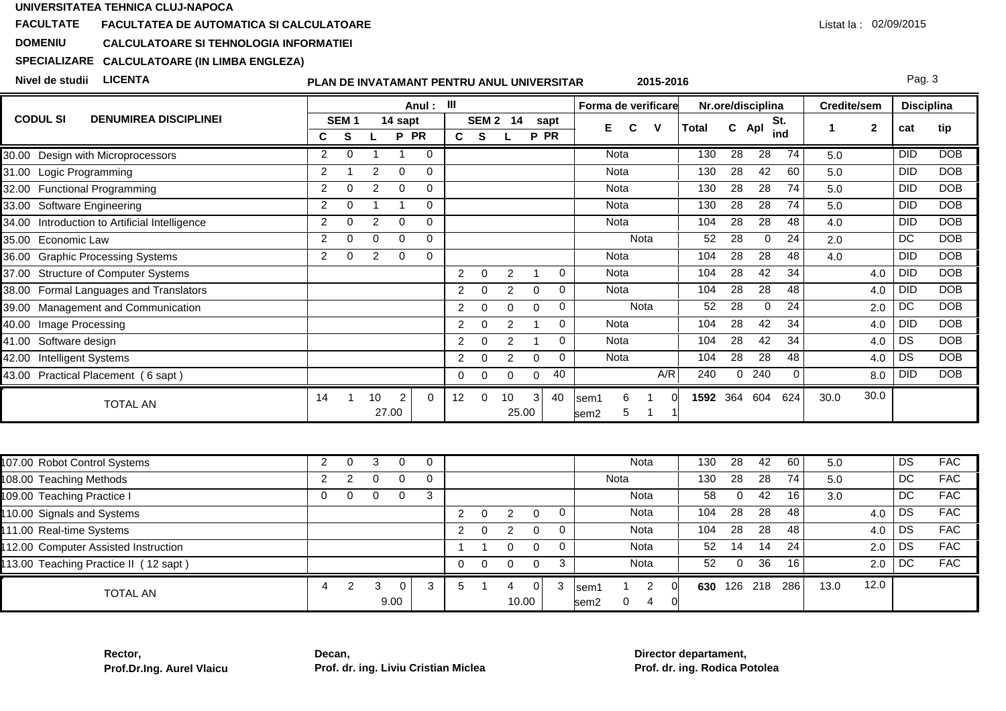### **FACULTATEFACULTATEA DE AUTOMATICA SI CALCULATOARE**

#### **DOMENIUCALCULATOARE SI TEHNOLOGIA INFORMATIEI**

# **SPECIALIZARECALCULATOARE (IN LIMBA ENGLEZA)**

**Nivel de studii LICENTA**

#### **PLAN DE INVATAMANT PENTRU ANUL UNIVERSITAR2015-2016**

Pag. 3

|                                                  |                |                  |                |                         | Anul: III   |                |                |                 |                |             | Forma de verificare                                        |                                            |              |                 | Nr.ore/disciplina |                 | <b>Credite/sem</b> |              | <b>Disciplina</b> |            |
|--------------------------------------------------|----------------|------------------|----------------|-------------------------|-------------|----------------|----------------|-----------------|----------------|-------------|------------------------------------------------------------|--------------------------------------------|--------------|-----------------|-------------------|-----------------|--------------------|--------------|-------------------|------------|
| <b>CODUL SI</b><br><b>DENUMIREA DISCIPLINEI</b>  |                | SEM <sub>1</sub> |                | 14 sapt                 |             |                |                | <b>SEM 2 14</b> |                | sapt        | C<br>Е                                                     | v                                          | <b>Total</b> | C Apl           |                   | St.             | -1                 | $\mathbf{2}$ | cat               | tip        |
|                                                  | C              | S                |                | P PR                    |             | $\mathbf{c}$   | $\mathbf{s}$   |                 | P PR           |             |                                                            |                                            |              |                 |                   | ind             |                    |              |                   |            |
| 30.00 Design with Microprocessors                | 2              | $\Omega$         | $\overline{1}$ | -1                      | $\mathbf 0$ |                |                |                 |                |             | Nota                                                       |                                            | 130          | 28              | 28                | 74              | 5.0                |              | <b>DID</b>        | <b>DOB</b> |
| 31.00 Logic Programming                          | 2              |                  | 2              | $\Omega$                | $\Omega$    |                |                |                 |                |             | Nota                                                       |                                            | 130          | 28              | 42                | 60              | 5.0                |              | <b>DID</b>        | <b>DOB</b> |
| 32.00 Functional Programming                     | 2              | $\Omega$         | $\overline{2}$ | $\mathbf 0$             | $\mathbf 0$ |                |                |                 |                |             | Nota                                                       |                                            | 130          | 28              | 28                | 74              | 5.0                |              | <b>DID</b>        | <b>DOB</b> |
| 33.00 Software Engineering                       | $\overline{2}$ | $\mathbf 0$      | $\overline{1}$ | $\overline{1}$          | $\mathbf 0$ |                |                |                 |                |             | Nota                                                       |                                            | 130          | $\overline{28}$ | $\overline{28}$   | $\overline{74}$ | 5.0                |              | <b>DID</b>        | <b>DOB</b> |
| Introduction to Artificial Intelligence<br>34.00 | 2              | $\Omega$         | 2              | $\Omega$                | $\Omega$    |                |                |                 |                |             | Nota                                                       |                                            | 104          | $\overline{28}$ | $\overline{28}$   | $\overline{48}$ | 4.0                |              | <b>DID</b>        | DOB        |
| Economic Law<br>35.00                            | 2              | $\Omega$         | $\Omega$       | $\Omega$                | $\Omega$    |                |                |                 |                |             | Nota                                                       |                                            | 52           | 28              | $\Omega$          | 24              | 2.0                |              | DC                | <b>DOB</b> |
| <b>Graphic Processing Systems</b><br>36.00       | $\overline{2}$ | $\Omega$         | 2              | $\mathbf 0$             | $\mathbf 0$ |                |                |                 |                |             | Nota                                                       |                                            | 104          | 28              | 28                | 48              | 4.0                |              | <b>DID</b>        | <b>DOB</b> |
| 37.00 Structure of Computer Systems              |                |                  |                |                         |             | $\overline{a}$ | $\mathbf 0$    | $\overline{c}$  | $\mathbf{1}$   | 0           | Nota                                                       |                                            | 104          | 28              | 42                | $\overline{34}$ |                    | 4.0          | <b>DID</b>        | DOB        |
| Formal Languages and Translators<br>38.00        |                |                  |                |                         |             | $\overline{2}$ | $\Omega$       | $\overline{c}$  | $\mathbf 0$    | $\mathbf 0$ | Nota                                                       |                                            | 104          | 28              | $\overline{28}$   | 48              |                    | 4.0          | <b>DID</b>        | <b>DOB</b> |
| 39.00 Management and Communication               |                |                  |                |                         |             | $\overline{2}$ | $\Omega$       | $\Omega$        | $\mathbf 0$    | 0           | Nota                                                       |                                            | 52           | 28              | $\mathbf 0$       | $\overline{24}$ |                    | 2.0          | DC                | DOB        |
| Image Processing<br>40.00                        |                |                  |                |                         |             | $\overline{2}$ | $\mathbf 0$    | $\overline{c}$  | $\overline{1}$ | $\mathbf 0$ | Nota                                                       |                                            | 104          | 28              | 42                | 34              |                    | 4.0          | <b>DID</b>        | <b>DOB</b> |
| Software design<br>41.00                         |                |                  |                |                         |             | $\overline{a}$ | $\mathbf 0$    | $\overline{2}$  | $\mathbf 1$    | 0           | Nota                                                       |                                            | 104          | $\overline{28}$ | 42                | $\overline{34}$ |                    | 4.0          | DS                | <b>DOB</b> |
| <b>Intelligent Systems</b><br>42.00              |                |                  |                |                         |             | $\overline{2}$ | $\overline{0}$ | $\overline{c}$  | $\mathbf 0$    | $\mathbf 0$ | <b>Nota</b>                                                |                                            | 104          | $\overline{28}$ | $\overline{28}$   | 48              |                    | 4.0          | DS                | <b>DOB</b> |
| 43.00 Practical Placement (6 sapt)               |                |                  |                |                         |             | $\mathbf 0$    | $\mathbf{0}$   | $\Omega$        | $\mathbf 0$    | 40          |                                                            | A/R                                        | 240          | 0               | 240               | 0               |                    | 8.0          | <b>DID</b>        | <b>DOB</b> |
| <b>TOTAL AN</b>                                  | 14             | $\mathbf{1}$     | 10             | $\overline{2}$<br>27.00 | $\Omega$    | 12             | $\mathbf 0$    | 10<br>25.00     | 3              | 40          | 6<br>$\blacktriangleleft$<br>sem1<br>5<br>sem <sub>2</sub> | $\Omega$<br>$\mathbf{1}$<br>$\overline{1}$ | 1592 364     |                 | 604               | 624             | 30.0               | 30.0         |                   |            |
|                                                  |                |                  |                |                         |             |                |                |                 |                |             |                                                            |                                            |              |                 |                   |                 |                    |              |                   |            |
| 07.00 Robot Control Systems                      | $\overline{2}$ | $\Omega$         | 3              | $\Omega$                | $\mathbf 0$ |                |                |                 |                |             | <b>Nota</b>                                                |                                            | 130          | $\overline{28}$ | 42                | 60              | 5.0                |              | DS                | <b>FAC</b> |
| 08.00 Teaching Methods                           | 2              | 2                | $\Omega$       | $\Omega$                | $\mathbf 0$ |                |                |                 |                |             | Nota                                                       |                                            | 130          | $\overline{28}$ | $\overline{28}$   | 74              | 5.0                |              | DC                | <b>FAC</b> |
| 09.00 Teaching Practice I                        | $\Omega$       | $\Omega$         | $\Omega$       | $\Omega$                | 3           |                |                |                 |                |             | Nota                                                       |                                            | 58           | 0               | 42                | 16              | 3.0                |              | DC                | <b>FAC</b> |
| 10.00 Signals and Systems                        |                |                  |                |                         |             | $\overline{2}$ | $\mathbf 0$    | $\overline{c}$  | $\mathbf 0$    | 0           | Nota                                                       |                                            | 104          | 28              | 28                | 48              |                    | 4.0          | DS                | <b>FAC</b> |
| 11.00 Real-time Systems                          |                |                  |                |                         |             | $\overline{2}$ | $\Omega$       | $\overline{2}$  | $\Omega$       | $\mathbf 0$ | Nota                                                       |                                            | 104          | 28              | $\overline{28}$   | 48              |                    | 4.0          | DS                | <b>FAC</b> |
| 12.00 Computer Assisted Instruction              |                |                  |                |                         |             | -1             | -1             | $\mathbf 0$     | $\mathbf 0$    | 0           | <b>Nota</b>                                                |                                            | 52           | 14              | 14                | 24              |                    | 2.0          | DS                | <b>FAC</b> |
| 13.00 Teaching Practice II (12 sapt)             |                |                  |                |                         |             | $\mathbf 0$    | $\mathbf 0$    | $\mathbf 0$     | $\mathsf 0$    | 3           | Nota                                                       |                                            | 52           | $\mathbf 0$     | 36                | 16              |                    | 2.0          | $\overline{DC}$   | <b>FAC</b> |
| <b>TOTAL AN</b>                                  | 4              | $\overline{2}$   | 3              | $\Omega$<br>9.00        | 3           | 5              | - 1            | 4<br>10.00      | $\Omega$       | 3           | sem1<br>0<br>sem <sub>2</sub>                              | $\overline{c}$<br>$\Omega$<br>4            |              | 630 126 218     |                   | 286             | 13.0               | 12.0         |                   |            |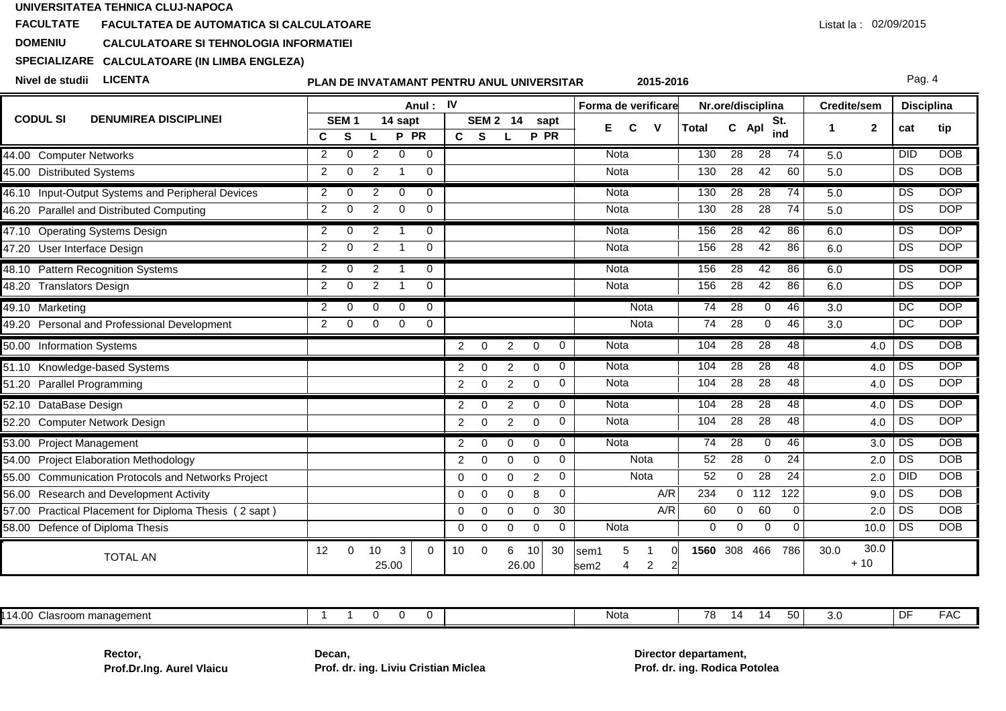### **FACULTATEFACULTATEA DE AUTOMATICA SI CALCULATOARE**

#### **DOMENIUCALCULATOARE SI TEHNOLOGIA INFORMATIEI**

# **SPECIALIZARECALCULATOARE (IN LIMBA ENGLEZA)**

**Nivel de studii LICENTA**

## **PLAN DE INVATAMANT PENTRU ANUL UNIVERSITAR**

Pag. 4

|                                                              |                |                       |                |                         | Anul: IV    |                |                  |                |                 |                 | Forma de verificare                             |              |                 | Nr.ore/disciplina |              | Credite/sem |               | <b>Disciplina</b> |            |
|--------------------------------------------------------------|----------------|-----------------------|----------------|-------------------------|-------------|----------------|------------------|----------------|-----------------|-----------------|-------------------------------------------------|--------------|-----------------|-------------------|--------------|-------------|---------------|-------------------|------------|
| <b>CODUL SI</b><br><b>DENUMIREA DISCIPLINEI</b>              | C              | SEM <sub>1</sub><br>S |                | 14 sapt<br>P PR         |             | C S            | SEM <sub>2</sub> | 14             | P PR            | sapt            | Е<br>$\mathbf v$<br>C                           | <b>Total</b> | C.              | Apl               | St.<br>ind   | -1          | $\mathbf{2}$  | cat               | tip        |
| 44.00 Computer Networks                                      | 2              | $\Omega$              | 2              | $\mathbf{0}$            | $\mathbf 0$ |                |                  |                |                 |                 | Nota                                            | 130          | 28              | $\overline{28}$   | 74           | 5.0         |               | DID               | <b>DOB</b> |
| 45.00 Distributed Systems                                    | 2              | $\Omega$              | 2              | -1                      | $\mathbf 0$ |                |                  |                |                 |                 | <b>Nota</b>                                     | 130          | 28              | 42                | 60           | 5.0         |               | DS                | <b>DOB</b> |
| 46.10 Input-Output Systems and Peripheral Devices            | 2              | $\Omega$              | 2              | $\mathbf{0}$            | $\Omega$    |                |                  |                |                 |                 | <b>Nota</b>                                     | 130          | $\overline{28}$ | $\overline{28}$   | 74           | 5.0         |               | DS                | <b>DOP</b> |
| 46.20 Parallel and Distributed Computing                     | 2              | $\mathbf 0$           | $\overline{2}$ | $\mathbf 0$             | 0           |                |                  |                |                 |                 | Nota                                            | 130          | 28              | 28                | 74           | 5.0         |               | DS                | <b>DOP</b> |
| 47.10 Operating Systems Design                               | 2              | $\Omega$              | 2              |                         | $\Omega$    |                |                  |                |                 |                 | Nota                                            | 156          | 28              | 42                | 86           | 6.0         |               | DS                | <b>DOP</b> |
| 47.20 User Interface Design                                  | 2              | $\Omega$              | 2              | $\overline{\mathbf{1}}$ | $\Omega$    |                |                  |                |                 |                 | Nota                                            | 156          | 28              | 42                | 86           | 6.0         |               | DS                | <b>DOP</b> |
| 48.10 Pattern Recognition Systems                            | $\overline{2}$ | $\Omega$              | $\overline{2}$ | $\overline{1}$          | $\mathbf 0$ |                |                  |                |                 |                 | <b>Nota</b>                                     | 156          | 28              | 42                | 86           | 6.0         |               | DS                | <b>DOP</b> |
| 48.20 Translators Design                                     | $\overline{2}$ | $\Omega$              | $\overline{2}$ |                         | $\Omega$    |                |                  |                |                 |                 | Nota                                            | 156          | 28              | 42                | 86           | 6.0         |               | DS                | <b>DOP</b> |
| 49.10 Marketing                                              | 2              | $\Omega$              | $\Omega$       | $\Omega$                | $\mathbf 0$ |                |                  |                |                 |                 | Nota                                            | 74           | 28              | $\Omega$          | 46           | 3.0         |               | DC                | <b>DOP</b> |
| 49.20 Personal and Professional Development                  | 2              | $\mathbf 0$           | $\mathbf 0$    | $\mathbf 0$             | $\mathbf 0$ |                |                  |                |                 |                 | Nota                                            | 74           | 28              | $\mathbf 0$       | 46           | 3.0         |               | DC                | <b>DOP</b> |
| 50.00 Information Systems                                    |                |                       |                |                         |             | $2^{\circ}$    | $\overline{0}$   | $\overline{2}$ | $\mathbf 0$     | 0               | Nota                                            | 104          | $\overline{28}$ | 28                | 48           |             | 4.0           | DS                | <b>DOB</b> |
| 51.10 Knowledge-based Systems                                |                |                       |                |                         |             | 2              | $\Omega$         | $\overline{2}$ | $\mathbf 0$     | 0               | Nota                                            | 104          | 28              | 28                | 48           |             | 4.0           | DS                | <b>DOP</b> |
| 51.20 Parallel Programming                                   |                |                       |                |                         |             | $\overline{2}$ | $\mathbf 0$      | $\overline{2}$ | $\mathbf 0$     | 0               | <b>Nota</b>                                     | 104          | 28              | 28                | 48           |             | 4.0           | DS                | <b>DOP</b> |
| 52.10 DataBase Design                                        |                |                       |                |                         |             | $\overline{2}$ | $\mathbf 0$      | 2              | $\mathbf 0$     | 0               | Nota                                            | 104          | $\overline{28}$ | $\overline{28}$   | 48           |             | 4.0           | DS                | <b>DOP</b> |
| 52.20 Computer Network Design                                |                |                       |                |                         |             | $\overline{2}$ | $\Omega$         | $\overline{2}$ | $\Omega$        | 0               | Nota                                            | 104          | 28              | 28                | 48           |             | 4.0           | DS                | <b>DOP</b> |
| 53.00 Project Management                                     |                |                       |                |                         |             | $\overline{2}$ | $\mathbf{0}$     | $\Omega$       | $\Omega$        | 0               | Nota                                            | 74           | 28              | 0                 | 46           |             | 3.0           | <b>DS</b>         | <b>DOB</b> |
| 54.00 Project Elaboration Methodology                        |                |                       |                |                         |             | $\overline{2}$ | $\Omega$         | 0              | $\Omega$        | $\mathbf 0$     | Nota                                            | 52           | 28              | $\mathbf 0$       | 24           |             | 2.0           | DS                | <b>DOB</b> |
| <b>Communication Protocols and Networks Project</b><br>55.00 |                |                       |                |                         |             | $\mathbf 0$    | $\Omega$         | $\Omega$       | $\overline{c}$  | $\mathbf 0$     | Nota                                            | 52           | $\Omega$        | $\overline{28}$   | 24           |             | 2.0           | <b>DID</b>        | <b>DOB</b> |
| 56.00 Research and Development Activity                      |                |                       |                |                         |             | $\mathbf 0$    | $\mathbf 0$      | 0              | 8               | $\mathbf 0$     | A/R                                             | 234          |                 | $0$ 112           | 122          |             | 9.0           | DS                | <b>DOB</b> |
| 57.00 Practical Placement for Diploma Thesis (2 sapt)        |                |                       |                |                         |             | 0              | $\Omega$         | 0              | 0               | $\overline{30}$ | A/R                                             | 60           | $\Omega$        | 60                | $\Omega$     |             | 2.0           | <b>DS</b>         | <b>DOB</b> |
| 58.00 Defence of Diploma Thesis                              |                |                       |                |                         |             | $\mathbf{0}$   | $\mathbf 0$      | 0              | $\mathbf 0$     | 0               | <b>Nota</b>                                     | $\mathbf 0$  | $\mathbf 0$     | $\mathbf 0$       | $\mathbf{0}$ |             | 10.0          | DS                | <b>DOB</b> |
| <b>TOTAL AN</b>                                              | 12             | $\Omega$              | 10<br>25.00    | 3                       | $\Omega$    | 10             | $\Omega$         | 6<br>26.00     | 10 <sup>1</sup> | 30              | sem1<br>$\overline{c}$<br>4<br>sem <sub>2</sub> | 1560         | 308             | 466               | 786          | 30.0        | 30.0<br>$+10$ |                   |            |

|  | $\sim$ $\sim$<br>Clasroom management |  |  | Nota | 50 | ັບເປ | $\sim$ $-$<br>. . | $ -$<br>$\sim$ |
|--|--------------------------------------|--|--|------|----|------|-------------------|----------------|
|--|--------------------------------------|--|--|------|----|------|-------------------|----------------|

**Rector,Prof.Dr.Ing. Aurel Vlaicu** **Decan,Prof. dr. ing. Liviu Cristian Miclea** **Director departament,Prof. dr. ing. Rodica Potolea**

**2015-2016**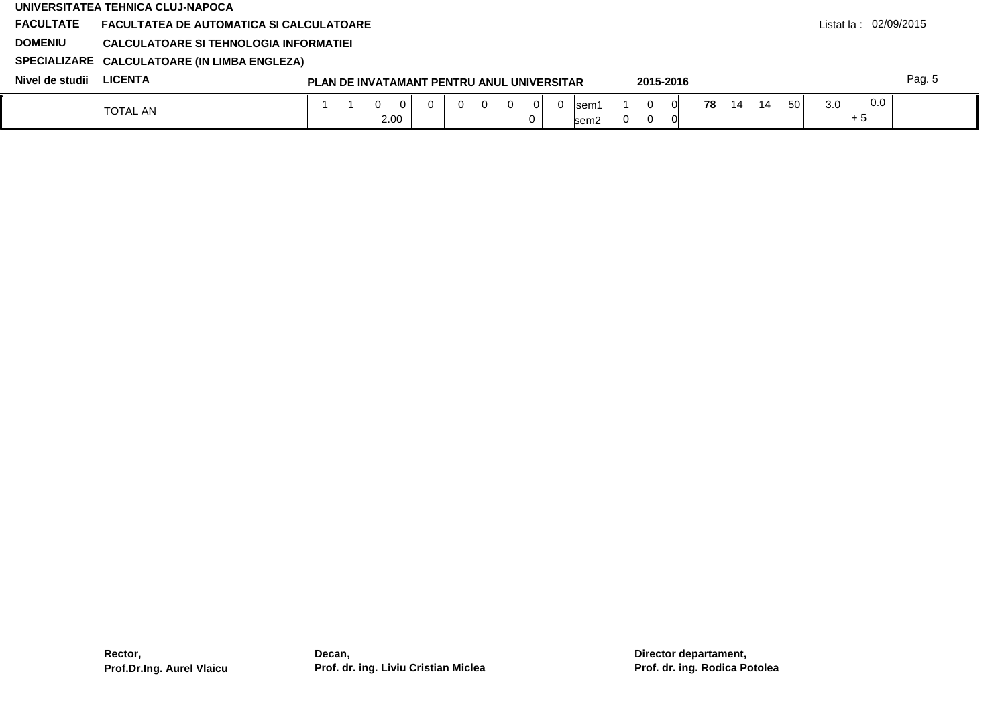|                  | UNIVERSITATEA TEHNICA CLUJ-NAPOCA               |  |   |                  |                                                   |          |          |                |          |                |          |           |    |    |    |                 |     |                          |        |
|------------------|-------------------------------------------------|--|---|------------------|---------------------------------------------------|----------|----------|----------------|----------|----------------|----------|-----------|----|----|----|-----------------|-----|--------------------------|--------|
| <b>FACULTATE</b> | <b>FACULTATEA DE AUTOMATICA SI CALCULATOARE</b> |  |   |                  |                                                   |          |          |                |          |                |          |           |    |    |    |                 |     | Listat la : $02/09/2015$ |        |
| <b>DOMENIU</b>   | CALCULATOARE SI TEHNOLOGIA INFORMATIEI          |  |   |                  |                                                   |          |          |                |          |                |          |           |    |    |    |                 |     |                          |        |
|                  | SPECIALIZARE CALCULATOARE (IN LIMBA ENGLEZA)    |  |   |                  |                                                   |          |          |                |          |                |          |           |    |    |    |                 |     |                          |        |
| Nivel de studii  | <b>LICENTA</b>                                  |  |   |                  | <b>PLAN DE INVATAMANT PENTRU ANUL UNIVERSITAR</b> |          |          |                |          |                |          | 2015-2016 |    |    |    |                 |     |                          | Pag. 5 |
|                  | <b>TOTAL AN</b>                                 |  | 0 | $\Omega$<br>2.00 |                                                   | $\Omega$ | $\Omega$ | $\overline{0}$ | $\Omega$ | lsem1<br>lsem2 | $\Omega$ | 0<br>- 0  | 78 | 14 | 14 | 50 <sup>1</sup> | 3.0 | 0.0<br>$+5$              |        |